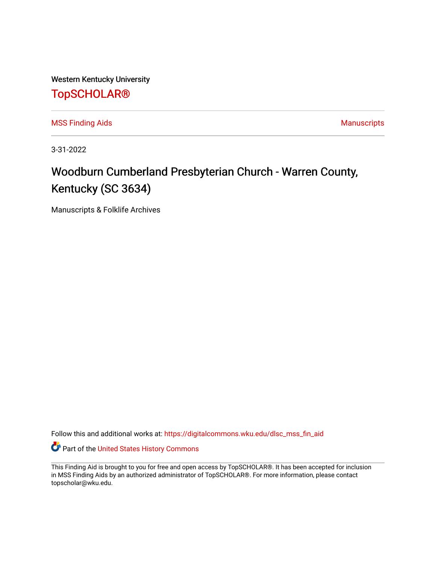Western Kentucky University

## [TopSCHOLAR®](https://digitalcommons.wku.edu/)

[MSS Finding Aids](https://digitalcommons.wku.edu/dlsc_mss_fin_aid) **MSS** Finding Aids **Manuscripts** Manuscripts

3-31-2022

# Woodburn Cumberland Presbyterian Church - Warren County, Kentucky (SC 3634)

Manuscripts & Folklife Archives

Follow this and additional works at: [https://digitalcommons.wku.edu/dlsc\\_mss\\_fin\\_aid](https://digitalcommons.wku.edu/dlsc_mss_fin_aid?utm_source=digitalcommons.wku.edu%2Fdlsc_mss_fin_aid%2F4998&utm_medium=PDF&utm_campaign=PDFCoverPages) 

Part of the [United States History Commons](http://network.bepress.com/hgg/discipline/495?utm_source=digitalcommons.wku.edu%2Fdlsc_mss_fin_aid%2F4998&utm_medium=PDF&utm_campaign=PDFCoverPages) 

This Finding Aid is brought to you for free and open access by TopSCHOLAR®. It has been accepted for inclusion in MSS Finding Aids by an authorized administrator of TopSCHOLAR®. For more information, please contact topscholar@wku.edu.